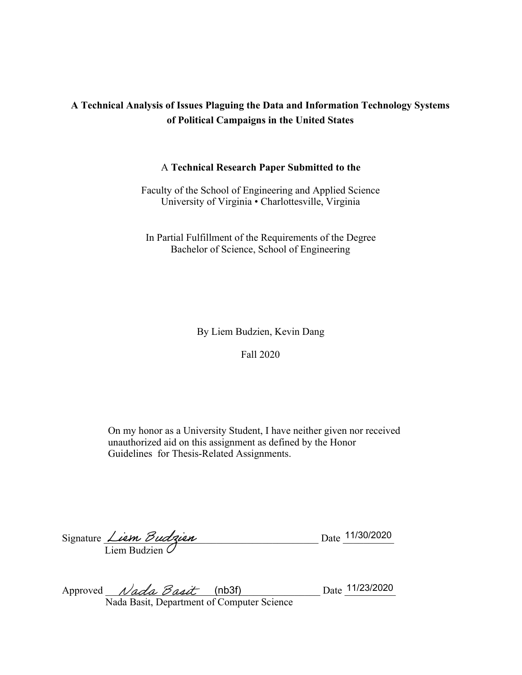# **A Technical Analysis of Issues Plaguing the Data and Information Technology Systems of Political Campaigns in the United States**

## A **Technical Research Paper Submitted to the**

Faculty of the School of Engineering and Applied Science University of Virginia • Charlottesville, Virginia

In Partial Fulfillment of the Requirements of the Degree Bachelor of Science, School of Engineering

By Liem Budzien, Kevin Dang

Fall 2020

On my honor as a University Student, I have neither given nor received unauthorized aid on this assignment as defined by the Honor Guidelines for Thesis-Related Assignments.

| Signature <i>Liem Budrien</i> |  | Date 11/30/2020 |
|-------------------------------|--|-----------------|
| Liem Budzien $\mathcal O$     |  |                 |

|                                            | Approved $Nada$ Basit (nb3f) |  |  | Date 11/23/2020 |
|--------------------------------------------|------------------------------|--|--|-----------------|
| Nada Basit, Department of Computer Science |                              |  |  |                 |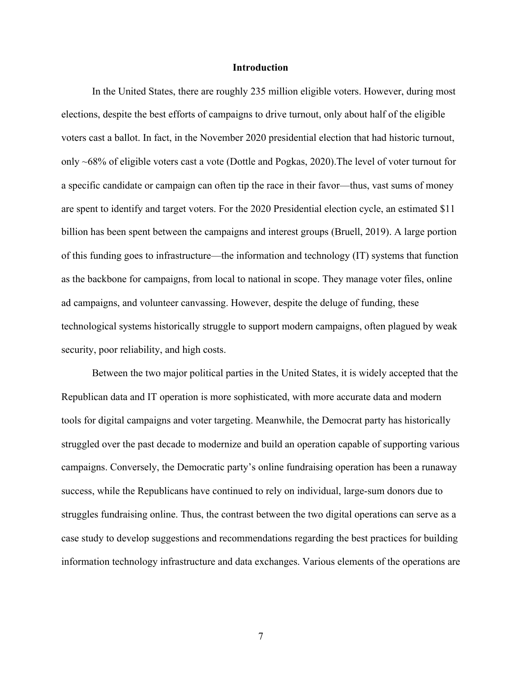### **Introduction**

In the United States, there are roughly 235 million eligible voters. However, during most elections, despite the best efforts of campaigns to drive turnout, only about half of the eligible voters cast a ballot. In fact, in the November 2020 presidential election that had historic turnout, only ~68% of eligible voters cast a vote (Dottle and Pogkas, 2020).The level of voter turnout for a specific candidate or campaign can often tip the race in their favor—thus, vast sums of money are spent to identify and target voters. For the 2020 Presidential election cycle, an estimated \$11 billion has been spent between the campaigns and interest groups (Bruell, 2019). A large portion of this funding goes to infrastructure—the information and technology (IT) systems that function as the backbone for campaigns, from local to national in scope. They manage voter files, online ad campaigns, and volunteer canvassing. However, despite the deluge of funding, these technological systems historically struggle to support modern campaigns, often plagued by weak security, poor reliability, and high costs.

Between the two major political parties in the United States, it is widely accepted that the Republican data and IT operation is more sophisticated, with more accurate data and modern tools for digital campaigns and voter targeting. Meanwhile, the Democrat party has historically struggled over the past decade to modernize and build an operation capable of supporting various campaigns. Conversely, the Democratic party's online fundraising operation has been a runaway success, while the Republicans have continued to rely on individual, large-sum donors due to struggles fundraising online. Thus, the contrast between the two digital operations can serve as a case study to develop suggestions and recommendations regarding the best practices for building information technology infrastructure and data exchanges. Various elements of the operations are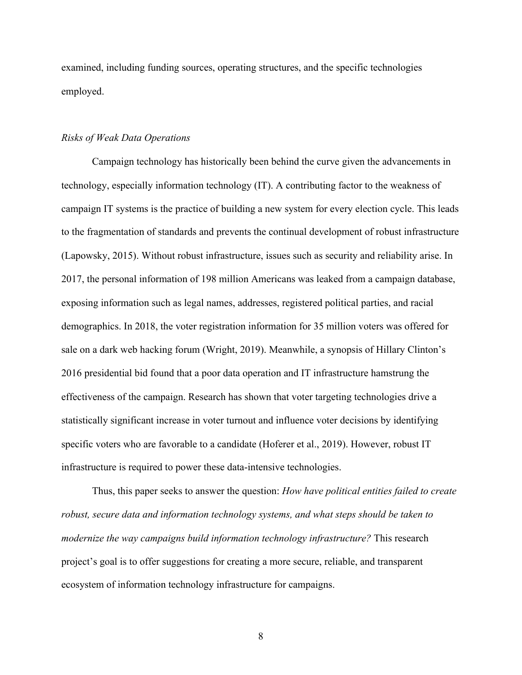examined, including funding sources, operating structures, and the specific technologies employed.

## *Risks of Weak Data Operations*

Campaign technology has historically been behind the curve given the advancements in technology, especially information technology (IT). A contributing factor to the weakness of campaign IT systems is the practice of building a new system for every election cycle. This leads to the fragmentation of standards and prevents the continual development of robust infrastructure (Lapowsky, 2015). Without robust infrastructure, issues such as security and reliability arise. In 2017, the personal information of 198 million Americans was leaked from a campaign database, exposing information such as legal names, addresses, registered political parties, and racial demographics. In 2018, the voter registration information for 35 million voters was offered for sale on a dark web hacking forum (Wright, 2019). Meanwhile, a synopsis of Hillary Clinton's 2016 presidential bid found that a poor data operation and IT infrastructure hamstrung the effectiveness of the campaign. Research has shown that voter targeting technologies drive a statistically significant increase in voter turnout and influence voter decisions by identifying specific voters who are favorable to a candidate (Hoferer et al., 2019). However, robust IT infrastructure is required to power these data-intensive technologies.

Thus, this paper seeks to answer the question: *How have political entities failed to create robust, secure data and information technology systems, and what steps should be taken to modernize the way campaigns build information technology infrastructure?* This research project's goal is to offer suggestions for creating a more secure, reliable, and transparent ecosystem of information technology infrastructure for campaigns.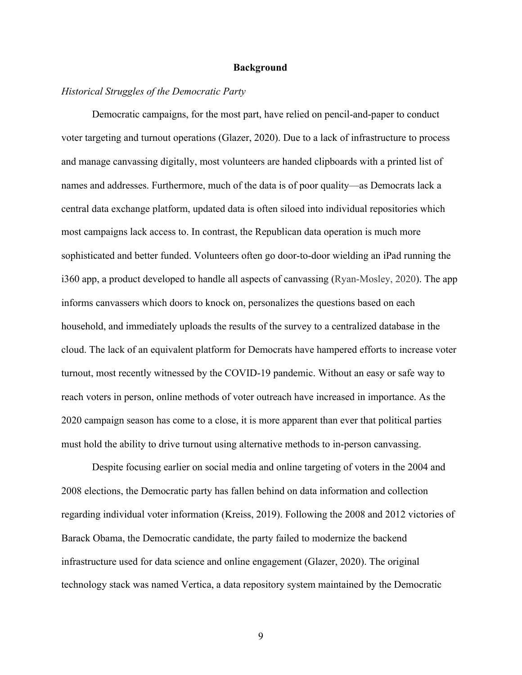## **Background**

## *Historical Struggles of the Democratic Party*

Democratic campaigns, for the most part, have relied on pencil-and-paper to conduct voter targeting and turnout operations (Glazer, 2020). Due to a lack of infrastructure to process and manage canvassing digitally, most volunteers are handed clipboards with a printed list of names and addresses. Furthermore, much of the data is of poor quality—as Democrats lack a central data exchange platform, updated data is often siloed into individual repositories which most campaigns lack access to. In contrast, the Republican data operation is much more sophisticated and better funded. Volunteers often go door-to-door wielding an iPad running the i360 app, a product developed to handle all aspects of canvassing (Ryan-Mosley, 2020). The app informs canvassers which doors to knock on, personalizes the questions based on each household, and immediately uploads the results of the survey to a centralized database in the cloud. The lack of an equivalent platform for Democrats have hampered efforts to increase voter turnout, most recently witnessed by the COVID-19 pandemic. Without an easy or safe way to reach voters in person, online methods of voter outreach have increased in importance. As the 2020 campaign season has come to a close, it is more apparent than ever that political parties must hold the ability to drive turnout using alternative methods to in-person canvassing.

Despite focusing earlier on social media and online targeting of voters in the 2004 and 2008 elections, the Democratic party has fallen behind on data information and collection regarding individual voter information (Kreiss, 2019). Following the 2008 and 2012 victories of Barack Obama, the Democratic candidate, the party failed to modernize the backend infrastructure used for data science and online engagement (Glazer, 2020). The original technology stack was named Vertica, a data repository system maintained by the Democratic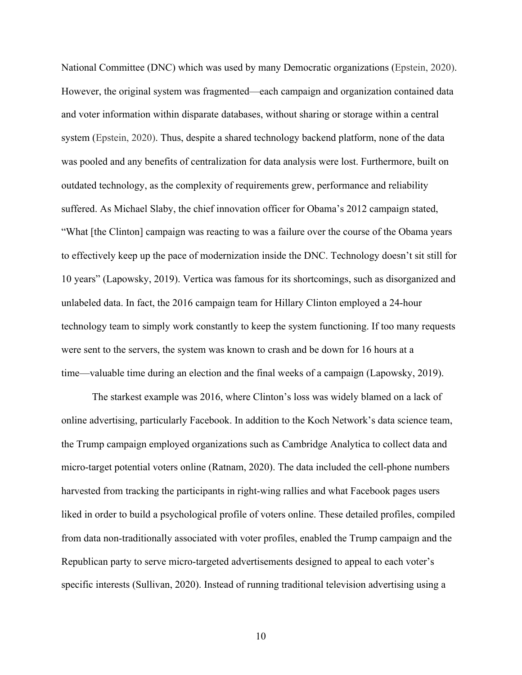National Committee (DNC) which was used by many Democratic organizations (Epstein, 2020). However, the original system was fragmented—each campaign and organization contained data and voter information within disparate databases, without sharing or storage within a central system (Epstein, 2020). Thus, despite a shared technology backend platform, none of the data was pooled and any benefits of centralization for data analysis were lost. Furthermore, built on outdated technology, as the complexity of requirements grew, performance and reliability suffered. As Michael Slaby, the chief innovation officer for Obama's 2012 campaign stated, "What [the Clinton] campaign was reacting to was a failure over the course of the Obama years to effectively keep up the pace of modernization inside the DNC. Technology doesn't sit still for 10 years" (Lapowsky, 2019). Vertica was famous for its shortcomings, such as disorganized and unlabeled data. In fact, the 2016 campaign team for Hillary Clinton employed a 24-hour technology team to simply work constantly to keep the system functioning. If too many requests were sent to the servers, the system was known to crash and be down for 16 hours at a time—valuable time during an election and the final weeks of a campaign (Lapowsky, 2019).

The starkest example was 2016, where Clinton's loss was widely blamed on a lack of online advertising, particularly Facebook. In addition to the Koch Network's data science team, the Trump campaign employed organizations such as Cambridge Analytica to collect data and micro-target potential voters online (Ratnam, 2020). The data included the cell-phone numbers harvested from tracking the participants in right-wing rallies and what Facebook pages users liked in order to build a psychological profile of voters online. These detailed profiles, compiled from data non-traditionally associated with voter profiles, enabled the Trump campaign and the Republican party to serve micro-targeted advertisements designed to appeal to each voter's specific interests (Sullivan, 2020). Instead of running traditional television advertising using a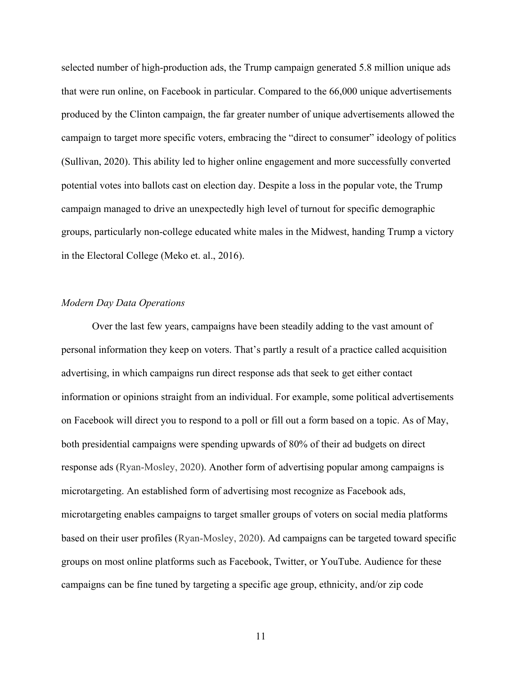selected number of high-production ads, the Trump campaign generated 5.8 million unique ads that were run online, on Facebook in particular. Compared to the 66,000 unique advertisements produced by the Clinton campaign, the far greater number of unique advertisements allowed the campaign to target more specific voters, embracing the "direct to consumer" ideology of politics (Sullivan, 2020). This ability led to higher online engagement and more successfully converted potential votes into ballots cast on election day. Despite a loss in the popular vote, the Trump campaign managed to drive an unexpectedly high level of turnout for specific demographic groups, particularly non-college educated white males in the Midwest, handing Trump a victory in the Electoral College (Meko et. al., 2016).

## *Modern Day Data Operations*

Over the last few years, campaigns have been steadily adding to the vast amount of personal information they keep on voters. That's partly a result of a practice called acquisition advertising, in which campaigns run direct response ads that seek to get either contact information or opinions straight from an individual. For example, some political advertisements on Facebook will direct you to respond to a poll or fill out a form based on a topic. As of May, both presidential campaigns were spending upwards of 80% of their ad budgets on direct response ads (Ryan-Mosley, 2020). Another form of advertising popular among campaigns is microtargeting. An established form of advertising most recognize as Facebook ads, microtargeting enables campaigns to target smaller groups of voters on social media platforms based on their user profiles (Ryan-Mosley, 2020). Ad campaigns can be targeted toward specific groups on most online platforms such as Facebook, Twitter, or YouTube. Audience for these campaigns can be fine tuned by targeting a specific age group, ethnicity, and/or zip code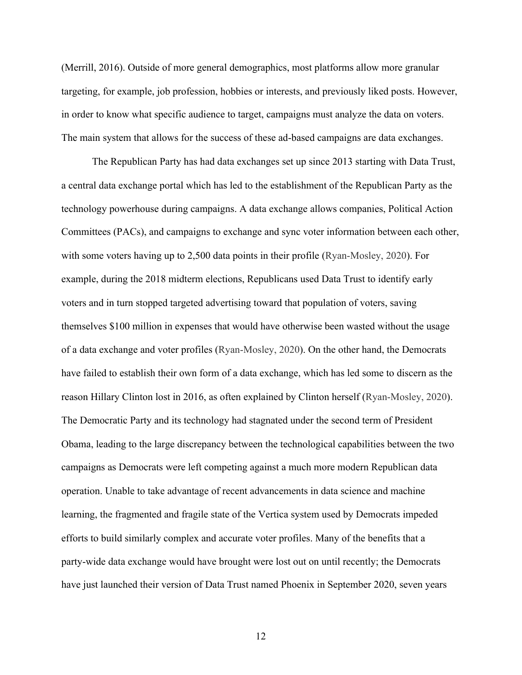(Merrill, 2016). Outside of more general demographics, most platforms allow more granular targeting, for example, job profession, hobbies or interests, and previously liked posts. However, in order to know what specific audience to target, campaigns must analyze the data on voters. The main system that allows for the success of these ad-based campaigns are data exchanges.

The Republican Party has had data exchanges set up since 2013 starting with Data Trust, a central data exchange portal which has led to the establishment of the Republican Party as the technology powerhouse during campaigns. A data exchange allows companies, Political Action Committees (PACs), and campaigns to exchange and sync voter information between each other, with some voters having up to 2,500 data points in their profile (Ryan-Mosley, 2020). For example, during the 2018 midterm elections, Republicans used Data Trust to identify early voters and in turn stopped targeted advertising toward that population of voters, saving themselves \$100 million in expenses that would have otherwise been wasted without the usage of a data exchange and voter profiles (Ryan-Mosley, 2020). On the other hand, the Democrats have failed to establish their own form of a data exchange, which has led some to discern as the reason Hillary Clinton lost in 2016, as often explained by Clinton herself (Ryan-Mosley, 2020). The Democratic Party and its technology had stagnated under the second term of President Obama, leading to the large discrepancy between the technological capabilities between the two campaigns as Democrats were left competing against a much more modern Republican data operation. Unable to take advantage of recent advancements in data science and machine learning, the fragmented and fragile state of the Vertica system used by Democrats impeded efforts to build similarly complex and accurate voter profiles. Many of the benefits that a party-wide data exchange would have brought were lost out on until recently; the Democrats have just launched their version of Data Trust named Phoenix in September 2020, seven years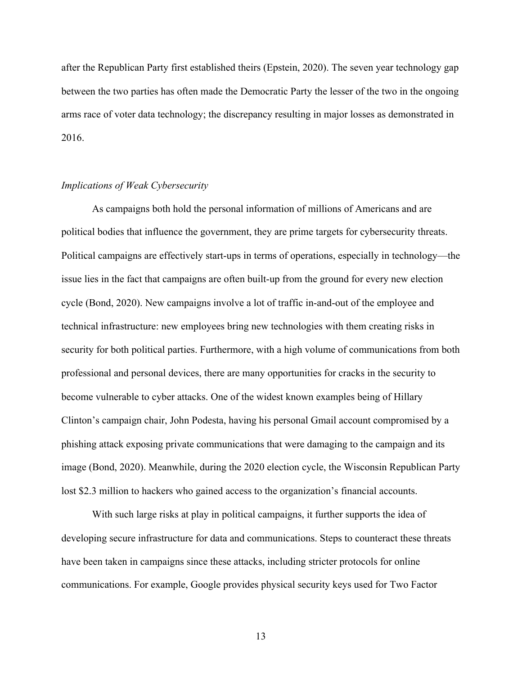after the Republican Party first established theirs (Epstein, 2020). The seven year technology gap between the two parties has often made the Democratic Party the lesser of the two in the ongoing arms race of voter data technology; the discrepancy resulting in major losses as demonstrated in 2016.

## *Implications of Weak Cybersecurity*

As campaigns both hold the personal information of millions of Americans and are political bodies that influence the government, they are prime targets for cybersecurity threats. Political campaigns are effectively start-ups in terms of operations, especially in technology—the issue lies in the fact that campaigns are often built-up from the ground for every new election cycle (Bond, 2020). New campaigns involve a lot of traffic in-and-out of the employee and technical infrastructure: new employees bring new technologies with them creating risks in security for both political parties. Furthermore, with a high volume of communications from both professional and personal devices, there are many opportunities for cracks in the security to become vulnerable to cyber attacks. One of the widest known examples being of Hillary Clinton's campaign chair, John Podesta, having his personal Gmail account compromised by a phishing attack exposing private communications that were damaging to the campaign and its image (Bond, 2020). Meanwhile, during the 2020 election cycle, the Wisconsin Republican Party lost \$2.3 million to hackers who gained access to the organization's financial accounts.

With such large risks at play in political campaigns, it further supports the idea of developing secure infrastructure for data and communications. Steps to counteract these threats have been taken in campaigns since these attacks, including stricter protocols for online communications. For example, Google provides physical security keys used for Two Factor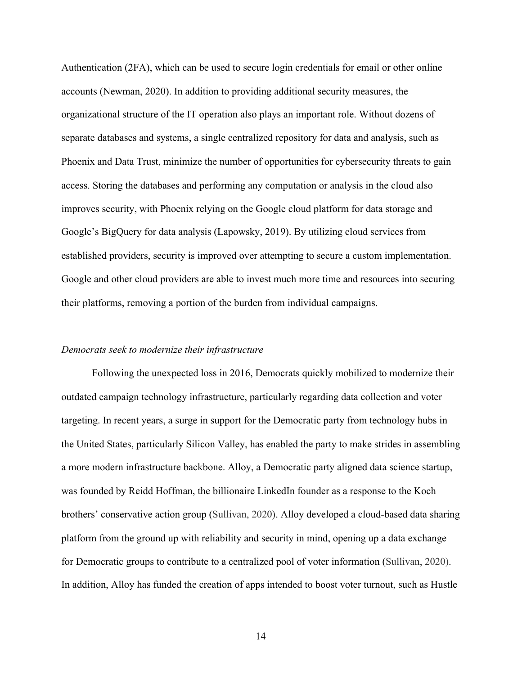Authentication (2FA), which can be used to secure login credentials for email or other online accounts (Newman, 2020). In addition to providing additional security measures, the organizational structure of the IT operation also plays an important role. Without dozens of separate databases and systems, a single centralized repository for data and analysis, such as Phoenix and Data Trust, minimize the number of opportunities for cybersecurity threats to gain access. Storing the databases and performing any computation or analysis in the cloud also improves security, with Phoenix relying on the Google cloud platform for data storage and Google's BigQuery for data analysis (Lapowsky, 2019). By utilizing cloud services from established providers, security is improved over attempting to secure a custom implementation. Google and other cloud providers are able to invest much more time and resources into securing their platforms, removing a portion of the burden from individual campaigns.

## *Democrats seek to modernize their infrastructure*

Following the unexpected loss in 2016, Democrats quickly mobilized to modernize their outdated campaign technology infrastructure, particularly regarding data collection and voter targeting. In recent years, a surge in support for the Democratic party from technology hubs in the United States, particularly Silicon Valley, has enabled the party to make strides in assembling a more modern infrastructure backbone. Alloy, a Democratic party aligned data science startup, was founded by Reidd Hoffman, the billionaire LinkedIn founder as a response to the Koch brothers' conservative action group (Sullivan, 2020). Alloy developed a cloud-based data sharing platform from the ground up with reliability and security in mind, opening up a data exchange for Democratic groups to contribute to a centralized pool of voter information (Sullivan, 2020). In addition, Alloy has funded the creation of apps intended to boost voter turnout, such as Hustle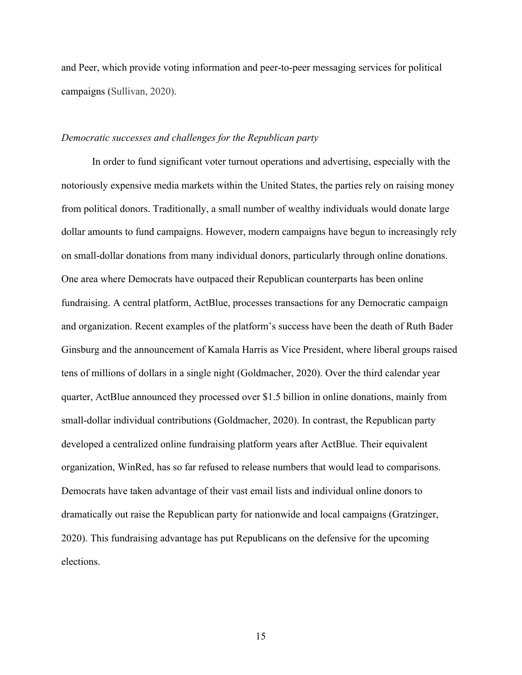and Peer, which provide voting information and peer-to-peer messaging services for political campaigns (Sullivan, 2020).

## *Democratic successes and challenges for the Republican party*

In order to fund significant voter turnout operations and advertising, especially with the notoriously expensive media markets within the United States, the parties rely on raising money from political donors. Traditionally, a small number of wealthy individuals would donate large dollar amounts to fund campaigns. However, modern campaigns have begun to increasingly rely on small-dollar donations from many individual donors, particularly through online donations. One area where Democrats have outpaced their Republican counterparts has been online fundraising. A central platform, ActBlue, processes transactions for any Democratic campaign and organization. Recent examples of the platform's success have been the death of Ruth Bader Ginsburg and the announcement of Kamala Harris as Vice President, where liberal groups raised tens of millions of dollars in a single night (Goldmacher, 2020). Over the third calendar year quarter, ActBlue announced they processed over \$1.5 billion in online donations, mainly from small-dollar individual contributions (Goldmacher, 2020). In contrast, the Republican party developed a centralized online fundraising platform years after ActBlue. Their equivalent organization, WinRed, has so far refused to release numbers that would lead to comparisons. Democrats have taken advantage of their vast email lists and individual online donors to dramatically out raise the Republican party for nationwide and local campaigns (Gratzinger, 2020). This fundraising advantage has put Republicans on the defensive for the upcoming elections.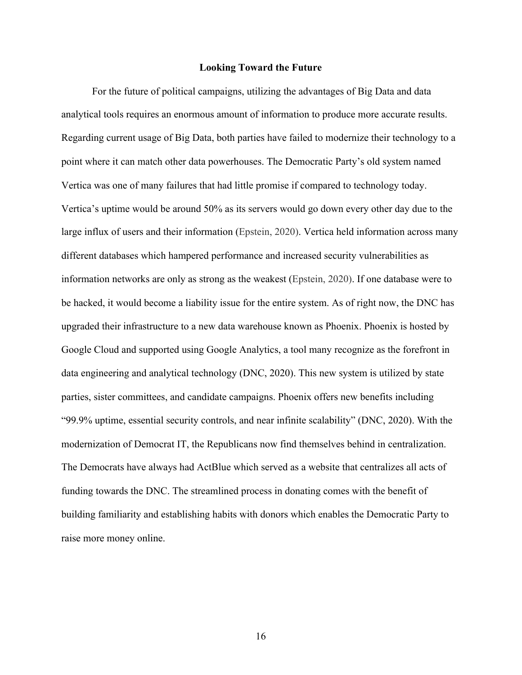### **Looking Toward the Future**

For the future of political campaigns, utilizing the advantages of Big Data and data analytical tools requires an enormous amount of information to produce more accurate results. Regarding current usage of Big Data, both parties have failed to modernize their technology to a point where it can match other data powerhouses. The Democratic Party's old system named Vertica was one of many failures that had little promise if compared to technology today. Vertica's uptime would be around 50% as its servers would go down every other day due to the large influx of users and their information (Epstein, 2020). Vertica held information across many different databases which hampered performance and increased security vulnerabilities as information networks are only as strong as the weakest (Epstein, 2020). If one database were to be hacked, it would become a liability issue for the entire system. As of right now, the DNC has upgraded their infrastructure to a new data warehouse known as Phoenix. Phoenix is hosted by Google Cloud and supported using Google Analytics, a tool many recognize as the forefront in data engineering and analytical technology (DNC, 2020). This new system is utilized by state parties, sister committees, and candidate campaigns. Phoenix offers new benefits including "99.9% uptime, essential security controls, and near infinite scalability" (DNC, 2020). With the modernization of Democrat IT, the Republicans now find themselves behind in centralization. The Democrats have always had ActBlue which served as a website that centralizes all acts of funding towards the DNC. The streamlined process in donating comes with the benefit of building familiarity and establishing habits with donors which enables the Democratic Party to raise more money online.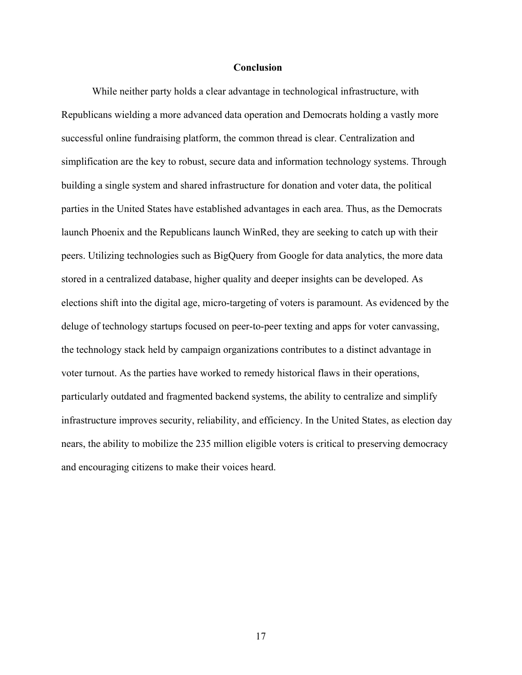## **Conclusion**

While neither party holds a clear advantage in technological infrastructure, with Republicans wielding a more advanced data operation and Democrats holding a vastly more successful online fundraising platform, the common thread is clear. Centralization and simplification are the key to robust, secure data and information technology systems. Through building a single system and shared infrastructure for donation and voter data, the political parties in the United States have established advantages in each area. Thus, as the Democrats launch Phoenix and the Republicans launch WinRed, they are seeking to catch up with their peers. Utilizing technologies such as BigQuery from Google for data analytics, the more data stored in a centralized database, higher quality and deeper insights can be developed. As elections shift into the digital age, micro-targeting of voters is paramount. As evidenced by the deluge of technology startups focused on peer-to-peer texting and apps for voter canvassing, the technology stack held by campaign organizations contributes to a distinct advantage in voter turnout. As the parties have worked to remedy historical flaws in their operations, particularly outdated and fragmented backend systems, the ability to centralize and simplify infrastructure improves security, reliability, and efficiency. In the United States, as election day nears, the ability to mobilize the 235 million eligible voters is critical to preserving democracy and encouraging citizens to make their voices heard.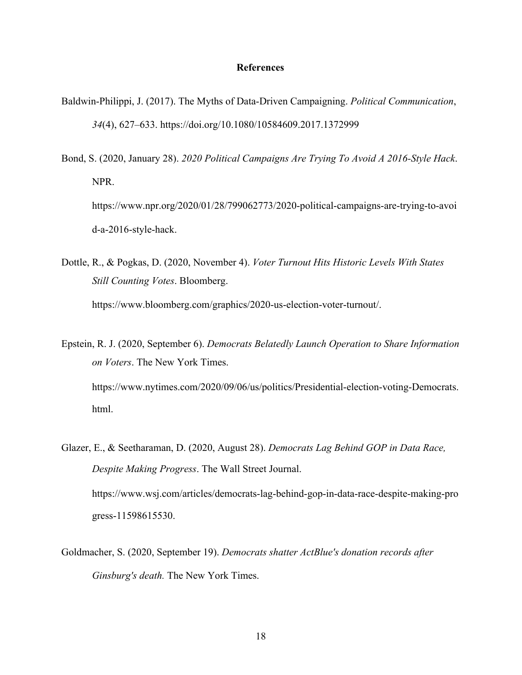### **References**

- Baldwin-Philippi, J. (2017). The Myths of Data-Driven Campaigning. *Political Communication*, *34*(4), 627–633. https://doi.org/10.1080/10584609.2017.1372999
- Bond, S. (2020, January 28). *2020 Political Campaigns Are Trying To Avoid A 2016-Style Hack*. NPR. https://www.npr.org/2020/01/28/799062773/2020-political-campaigns-are-trying-to-avoi d-a-2016-style-hack.
- Dottle, R., & Pogkas, D. (2020, November 4). *Voter Turnout Hits Historic Levels With States Still Counting Votes*. Bloomberg. https://www.bloomberg.com/graphics/2020-us-election-voter-turnout/.
- Epstein, R. J. (2020, September 6). *Democrats Belatedly Launch Operation to Share Information on Voters*. The New York Times. https://www.nytimes.com/2020/09/06/us/politics/Presidential-election-voting-Democrats. html.
- Glazer, E., & Seetharaman, D. (2020, August 28). *Democrats Lag Behind GOP in Data Race, Despite Making Progress*. The Wall Street Journal. https://www.wsj.com/articles/democrats-lag-behind-gop-in-data-race-despite-making-pro gress-11598615530.
- Goldmacher, S. (2020, September 19). *Democrats shatter ActBlue's donation records after Ginsburg's death.* The New York Times.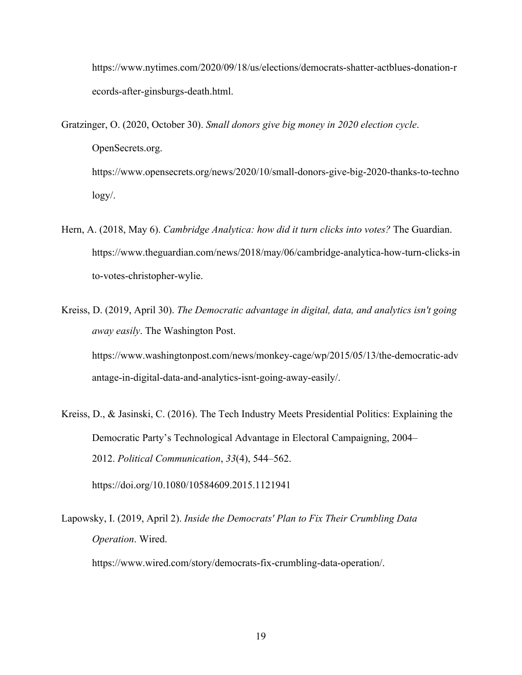https://www.nytimes.com/2020/09/18/us/elections/democrats-shatter-actblues-donation-r ecords-after-ginsburgs-death.html.

Gratzinger, O. (2020, October 30). *Small donors give big money in 2020 election cycle*. OpenSecrets.org. https://www.opensecrets.org/news/2020/10/small-donors-give-big-2020-thanks-to-techno logy/.

- Hern, A. (2018, May 6). *Cambridge Analytica: how did it turn clicks into votes?* The Guardian. https://www.theguardian.com/news/2018/may/06/cambridge-analytica-how-turn-clicks-in to-votes-christopher-wylie.
- Kreiss, D. (2019, April 30). *The Democratic advantage in digital, data, and analytics isn't going away easily*. The Washington Post. https://www.washingtonpost.com/news/monkey-cage/wp/2015/05/13/the-democratic-adv antage-in-digital-data-and-analytics-isnt-going-away-easily/.
- Kreiss, D., & Jasinski, C. (2016). The Tech Industry Meets Presidential Politics: Explaining the Democratic Party's Technological Advantage in Electoral Campaigning, 2004– 2012. *Political Communication*, *33*(4), 544–562. https://doi.org/10.1080/10584609.2015.1121941

Lapowsky, I. (2019, April 2). *Inside the Democrats' Plan to Fix Their Crumbling Data Operation*. Wired. https://www.wired.com/story/democrats-fix-crumbling-data-operation/.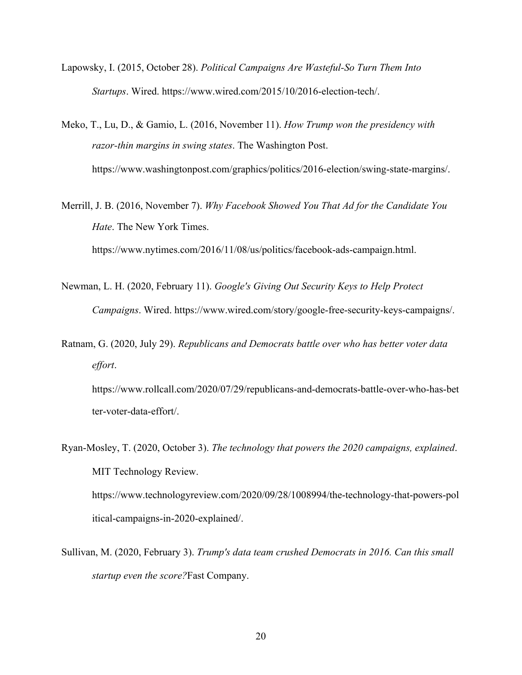- Lapowsky, I. (2015, October 28). *Political Campaigns Are Wasteful-So Turn Them Into Startups*. Wired. https://www.wired.com/2015/10/2016-election-tech/.
- Meko, T., Lu, D., & Gamio, L. (2016, November 11). *How Trump won the presidency with razor-thin margins in swing states*. The Washington Post. https://www.washingtonpost.com/graphics/politics/2016-election/swing-state-margins/.
- Merrill, J. B. (2016, November 7). *Why Facebook Showed You That Ad for the Candidate You Hate*. The New York Times. https://www.nytimes.com/2016/11/08/us/politics/facebook-ads-campaign.html.
- Newman, L. H. (2020, February 11). *Google's Giving Out Security Keys to Help Protect Campaigns*. Wired. https://www.wired.com/story/google-free-security-keys-campaigns/.
- Ratnam, G. (2020, July 29). *Republicans and Democrats battle over who has better voter data effort*.

https://www.rollcall.com/2020/07/29/republicans-and-democrats-battle-over-who-has-bet ter-voter-data-effort/.

- Ryan-Mosley, T. (2020, October 3). *The technology that powers the 2020 campaigns, explained*. MIT Technology Review. https://www.technologyreview.com/2020/09/28/1008994/the-technology-that-powers-pol itical-campaigns-in-2020-explained/.
- Sullivan, M. (2020, February 3). *Trump's data team crushed Democrats in 2016. Can this small startup even the score?*Fast Company.